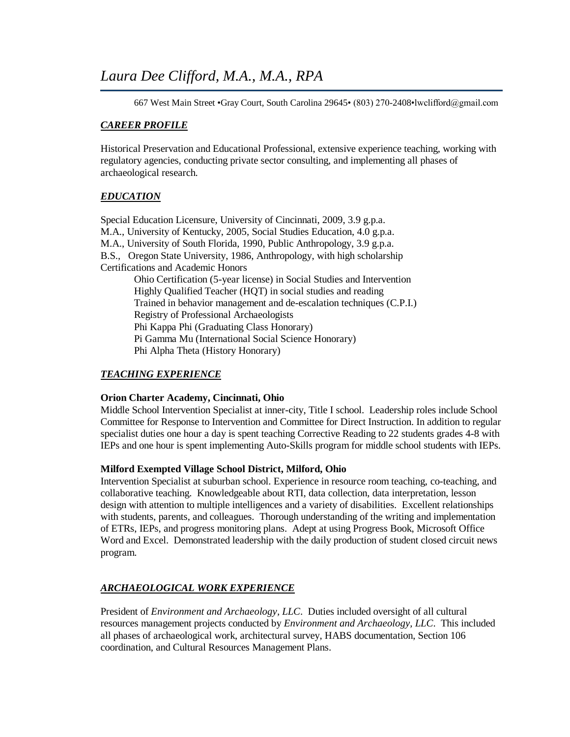667 West Main Street •Gray Court, South Carolina 29645• (803) 270-2408•lwclifford@gmail.com

# *CAREER PROFILE*

Historical Preservation and Educational Professional, extensive experience teaching, working with regulatory agencies, conducting private sector consulting, and implementing all phases of archaeological research.

# *EDUCATION*

Special Education Licensure, University of Cincinnati, 2009, 3.9 g.p.a. M.A., University of Kentucky, 2005, Social Studies Education, 4.0 g.p.a. M.A., University of South Florida, 1990, Public Anthropology, 3.9 g.p.a. B.S., Oregon State University, 1986, Anthropology, with high scholarship Certifications and Academic Honors Ohio Certification (5-year license) in Social Studies and Intervention Highly Qualified Teacher (HQT) in social studies and reading Trained in behavior management and de-escalation techniques (C.P.I.) Registry of Professional Archaeologists Phi Kappa Phi (Graduating Class Honorary) Pi Gamma Mu (International Social Science Honorary) Phi Alpha Theta (History Honorary)

# *TEACHING EXPERIENCE*

## **Orion Charter Academy, Cincinnati, Ohio**

Middle School Intervention Specialist at inner-city, Title I school. Leadership roles include School Committee for Response to Intervention and Committee for Direct Instruction. In addition to regular specialist duties one hour a day is spent teaching Corrective Reading to 22 students grades 4-8 with IEPs and one hour is spent implementing Auto-Skills program for middle school students with IEPs.

## **Milford Exempted Village School District, Milford, Ohio**

Intervention Specialist at suburban school. Experience in resource room teaching, co-teaching, and collaborative teaching. Knowledgeable about RTI, data collection, data interpretation, lesson design with attention to multiple intelligences and a variety of disabilities. Excellent relationships with students, parents, and colleagues. Thorough understanding of the writing and implementation of ETRs, IEPs, and progress monitoring plans. Adept at using Progress Book, Microsoft Office Word and Excel. Demonstrated leadership with the daily production of student closed circuit news program.

# *ARCHAEOLOGICAL WORK EXPERIENCE*

President of *Environment and Archaeology, LLC*. Duties included oversight of all cultural resources management projects conducted by *Environment and Archaeology, LLC*. This included all phases of archaeological work, architectural survey, HABS documentation, Section 106 coordination, and Cultural Resources Management Plans.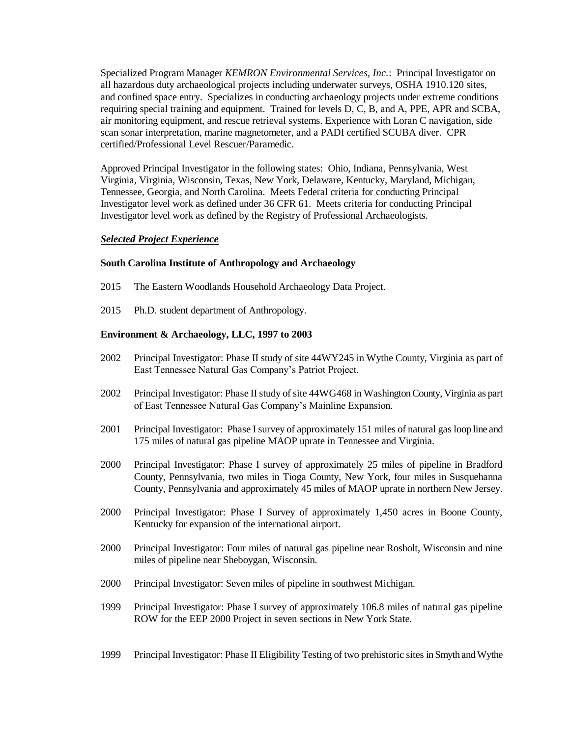Specialized Program Manager *KEMRON Environmental Services, Inc.*: Principal Investigator on all hazardous duty archaeological projects including underwater surveys, OSHA 1910.120 sites, and confined space entry. Specializes in conducting archaeology projects under extreme conditions requiring special training and equipment. Trained for levels D, C, B, and A, PPE, APR and SCBA, air monitoring equipment, and rescue retrieval systems. Experience with Loran C navigation, side scan sonar interpretation, marine magnetometer, and a PADI certified SCUBA diver. CPR certified/Professional Level Rescuer/Paramedic.

Approved Principal Investigator in the following states: Ohio, Indiana, Pennsylvania, West Virginia, Virginia, Wisconsin, Texas, New York, Delaware, Kentucky, Maryland, Michigan, Tennessee, Georgia, and North Carolina. Meets Federal criteria for conducting Principal Investigator level work as defined under 36 CFR 61. Meets criteria for conducting Principal Investigator level work as defined by the Registry of Professional Archaeologists.

## *Selected Project Experience*

## **South Carolina Institute of Anthropology and Archaeology**

- 2015 The Eastern Woodlands Household Archaeology Data Project.
- 2015 Ph.D. student department of Anthropology.

## **Environment & Archaeology, LLC, 1997 to 2003**

- 2002 Principal Investigator: Phase II study of site 44WY245 in Wythe County, Virginia as part of East Tennessee Natural Gas Company's Patriot Project.
- 2002 Principal Investigator: Phase II study of site 44WG468 in Washington County, Virginia as part of East Tennessee Natural Gas Company's Mainline Expansion.
- 2001 Principal Investigator: Phase I survey of approximately 151 miles of natural gas loop line and 175 miles of natural gas pipeline MAOP uprate in Tennessee and Virginia.
- 2000 Principal Investigator: Phase I survey of approximately 25 miles of pipeline in Bradford County, Pennsylvania, two miles in Tioga County, New York, four miles in Susquehanna County, Pennsylvania and approximately 45 miles of MAOP uprate in northern New Jersey.
- 2000 Principal Investigator: Phase I Survey of approximately 1,450 acres in Boone County, Kentucky for expansion of the international airport.
- 2000 Principal Investigator: Four miles of natural gas pipeline near Rosholt, Wisconsin and nine miles of pipeline near Sheboygan, Wisconsin.
- 2000 Principal Investigator: Seven miles of pipeline in southwest Michigan.
- 1999 Principal Investigator: Phase I survey of approximately 106.8 miles of natural gas pipeline ROW for the EEP 2000 Project in seven sections in New York State.
- 1999 Principal Investigator: Phase II Eligibility Testing of two prehistoric sites in Smyth and Wythe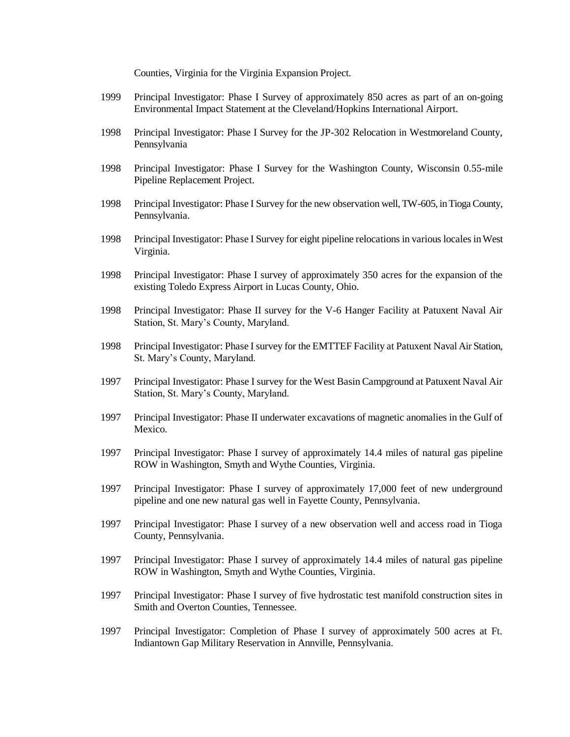Counties, Virginia for the Virginia Expansion Project.

- 1999 Principal Investigator: Phase I Survey of approximately 850 acres as part of an on-going Environmental Impact Statement at the Cleveland/Hopkins International Airport.
- 1998 Principal Investigator: Phase I Survey for the JP-302 Relocation in Westmoreland County, Pennsylvania
- 1998 Principal Investigator: Phase I Survey for the Washington County, Wisconsin 0.55-mile Pipeline Replacement Project.
- 1998 Principal Investigator: Phase I Survey for the new observation well, TW-605, in Tioga County, Pennsylvania.
- 1998 Principal Investigator: Phase I Survey for eight pipeline relocations in various locales in West Virginia.
- 1998 Principal Investigator: Phase I survey of approximately 350 acres for the expansion of the existing Toledo Express Airport in Lucas County, Ohio.
- 1998 Principal Investigator: Phase II survey for the V-6 Hanger Facility at Patuxent Naval Air Station, St. Mary's County, Maryland.
- 1998 Principal Investigator: Phase I survey for the EMTTEF Facility at Patuxent Naval Air Station, St. Mary's County, Maryland.
- 1997 Principal Investigator: Phase I survey for the West Basin Campground at Patuxent Naval Air Station, St. Mary's County, Maryland.
- 1997 Principal Investigator: Phase II underwater excavations of magnetic anomalies in the Gulf of Mexico.
- 1997 Principal Investigator: Phase I survey of approximately 14.4 miles of natural gas pipeline ROW in Washington, Smyth and Wythe Counties, Virginia.
- 1997 Principal Investigator: Phase I survey of approximately 17,000 feet of new underground pipeline and one new natural gas well in Fayette County, Pennsylvania.
- 1997 Principal Investigator: Phase I survey of a new observation well and access road in Tioga County, Pennsylvania.
- 1997 Principal Investigator: Phase I survey of approximately 14.4 miles of natural gas pipeline ROW in Washington, Smyth and Wythe Counties, Virginia.
- 1997 Principal Investigator: Phase I survey of five hydrostatic test manifold construction sites in Smith and Overton Counties, Tennessee.
- 1997 Principal Investigator: Completion of Phase I survey of approximately 500 acres at Ft. Indiantown Gap Military Reservation in Annville, Pennsylvania.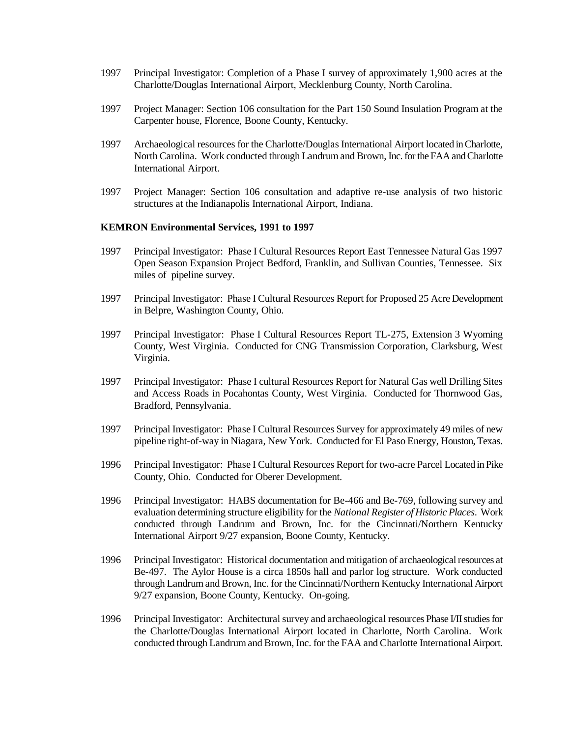- 1997 Principal Investigator: Completion of a Phase I survey of approximately 1,900 acres at the Charlotte/Douglas International Airport, Mecklenburg County, North Carolina.
- 1997 Project Manager: Section 106 consultation for the Part 150 Sound Insulation Program at the Carpenter house, Florence, Boone County, Kentucky.
- 1997 Archaeological resources for the Charlotte/Douglas International Airport located in Charlotte, North Carolina. Work conducted through Landrum and Brown, Inc. for the FAA and Charlotte International Airport.
- 1997 Project Manager: Section 106 consultation and adaptive re-use analysis of two historic structures at the Indianapolis International Airport, Indiana.

#### **KEMRON Environmental Services, 1991 to 1997**

- 1997 Principal Investigator: Phase I Cultural Resources Report East Tennessee Natural Gas 1997 Open Season Expansion Project Bedford, Franklin, and Sullivan Counties, Tennessee. Six miles of pipeline survey.
- 1997 Principal Investigator: Phase I Cultural Resources Report for Proposed 25 Acre Development in Belpre, Washington County, Ohio.
- 1997 Principal Investigator: Phase I Cultural Resources Report TL-275, Extension 3 Wyoming County, West Virginia. Conducted for CNG Transmission Corporation, Clarksburg, West Virginia.
- 1997 Principal Investigator: Phase I cultural Resources Report for Natural Gas well Drilling Sites and Access Roads in Pocahontas County, West Virginia. Conducted for Thornwood Gas, Bradford, Pennsylvania.
- 1997 Principal Investigator: Phase I Cultural Resources Survey for approximately 49 miles of new pipeline right-of-way in Niagara, New York. Conducted for El Paso Energy, Houston, Texas.
- 1996 Principal Investigator: Phase I Cultural Resources Report for two-acre Parcel Located in Pike County, Ohio. Conducted for Oberer Development.
- 1996 Principal Investigator: HABS documentation for Be-466 and Be-769, following survey and evaluation determining structure eligibility for the *National Register of Historic Places*. Work conducted through Landrum and Brown, Inc. for the Cincinnati/Northern Kentucky International Airport 9/27 expansion, Boone County, Kentucky.
- 1996 Principal Investigator: Historical documentation and mitigation of archaeological resources at Be-497. The Aylor House is a circa 1850s hall and parlor log structure. Work conducted through Landrum and Brown, Inc. for the Cincinnati/Northern Kentucky International Airport 9/27 expansion, Boone County, Kentucky. On-going.
- 1996 Principal Investigator: Architectural survey and archaeological resources Phase I/II studies for the Charlotte/Douglas International Airport located in Charlotte, North Carolina. Work conducted through Landrum and Brown, Inc. for the FAA and Charlotte International Airport.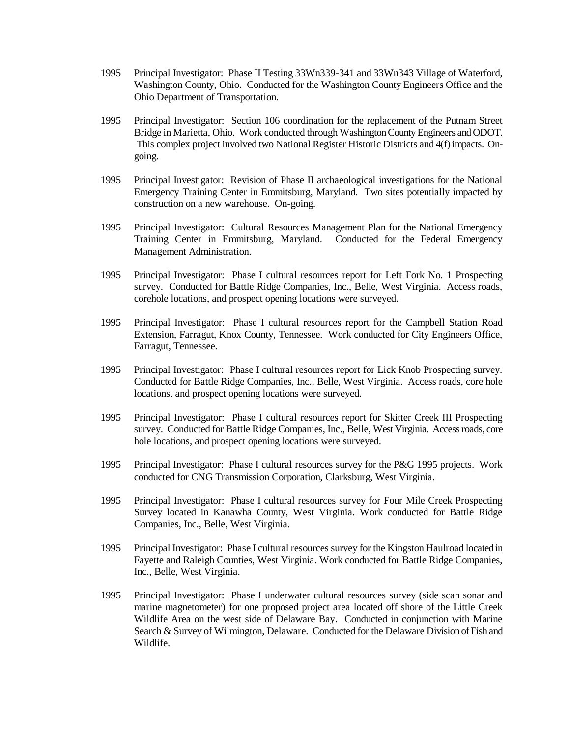- 1995 Principal Investigator: Phase II Testing 33Wn339-341 and 33Wn343 Village of Waterford, Washington County, Ohio. Conducted for the Washington County Engineers Office and the Ohio Department of Transportation.
- 1995 Principal Investigator: Section 106 coordination for the replacement of the Putnam Street Bridge in Marietta, Ohio. Work conducted through Washington County Engineers and ODOT. This complex project involved two National Register Historic Districts and 4(f) impacts. Ongoing.
- 1995 Principal Investigator: Revision of Phase II archaeological investigations for the National Emergency Training Center in Emmitsburg, Maryland. Two sites potentially impacted by construction on a new warehouse. On-going.
- 1995 Principal Investigator: Cultural Resources Management Plan for the National Emergency Training Center in Emmitsburg, Maryland. Conducted for the Federal Emergency Management Administration.
- 1995 Principal Investigator: Phase I cultural resources report for Left Fork No. 1 Prospecting survey. Conducted for Battle Ridge Companies, Inc., Belle, West Virginia. Access roads, corehole locations, and prospect opening locations were surveyed.
- 1995 Principal Investigator: Phase I cultural resources report for the Campbell Station Road Extension, Farragut, Knox County, Tennessee. Work conducted for City Engineers Office, Farragut, Tennessee.
- 1995 Principal Investigator: Phase I cultural resources report for Lick Knob Prospecting survey. Conducted for Battle Ridge Companies, Inc., Belle, West Virginia. Access roads, core hole locations, and prospect opening locations were surveyed.
- 1995 Principal Investigator: Phase I cultural resources report for Skitter Creek III Prospecting survey. Conducted for Battle Ridge Companies, Inc., Belle, West Virginia. Access roads, core hole locations, and prospect opening locations were surveyed.
- 1995 Principal Investigator: Phase I cultural resources survey for the P&G 1995 projects. Work conducted for CNG Transmission Corporation, Clarksburg, West Virginia.
- 1995 Principal Investigator: Phase I cultural resources survey for Four Mile Creek Prospecting Survey located in Kanawha County, West Virginia. Work conducted for Battle Ridge Companies, Inc., Belle, West Virginia.
- 1995 Principal Investigator: Phase I cultural resources survey for the Kingston Haulroad located in Fayette and Raleigh Counties, West Virginia. Work conducted for Battle Ridge Companies, Inc., Belle, West Virginia.
- 1995 Principal Investigator: Phase I underwater cultural resources survey (side scan sonar and marine magnetometer) for one proposed project area located off shore of the Little Creek Wildlife Area on the west side of Delaware Bay. Conducted in conjunction with Marine Search & Survey of Wilmington, Delaware. Conducted for the Delaware Division of Fish and Wildlife.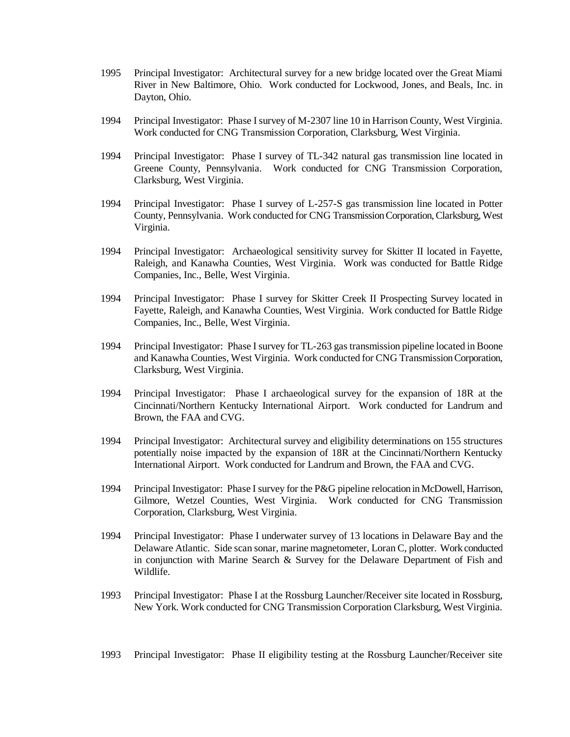- 1995 Principal Investigator: Architectural survey for a new bridge located over the Great Miami River in New Baltimore, Ohio. Work conducted for Lockwood, Jones, and Beals, Inc. in Dayton, Ohio.
- 1994 Principal Investigator: Phase I survey of M-2307 line 10 in Harrison County, West Virginia. Work conducted for CNG Transmission Corporation, Clarksburg, West Virginia.
- 1994 Principal Investigator: Phase I survey of TL-342 natural gas transmission line located in Greene County, Pennsylvania. Work conducted for CNG Transmission Corporation, Clarksburg, West Virginia.
- 1994 Principal Investigator: Phase I survey of L-257-S gas transmission line located in Potter County, Pennsylvania. Work conducted for CNG Transmission Corporation, Clarksburg, West Virginia.
- 1994 Principal Investigator: Archaeological sensitivity survey for Skitter II located in Fayette, Raleigh, and Kanawha Counties, West Virginia. Work was conducted for Battle Ridge Companies, Inc., Belle, West Virginia.
- 1994 Principal Investigator: Phase I survey for Skitter Creek II Prospecting Survey located in Fayette, Raleigh, and Kanawha Counties, West Virginia. Work conducted for Battle Ridge Companies, Inc., Belle, West Virginia.
- 1994 Principal Investigator: Phase I survey for TL-263 gas transmission pipeline located in Boone and Kanawha Counties, West Virginia. Work conducted for CNG Transmission Corporation, Clarksburg, West Virginia.
- 1994 Principal Investigator: Phase I archaeological survey for the expansion of 18R at the Cincinnati/Northern Kentucky International Airport. Work conducted for Landrum and Brown, the FAA and CVG.
- 1994 Principal Investigator: Architectural survey and eligibility determinations on 155 structures potentially noise impacted by the expansion of 18R at the Cincinnati/Northern Kentucky International Airport. Work conducted for Landrum and Brown, the FAA and CVG.
- 1994 Principal Investigator: Phase I survey for the P&G pipeline relocation in McDowell, Harrison, Gilmore, Wetzel Counties, West Virginia. Work conducted for CNG Transmission Corporation, Clarksburg, West Virginia.
- 1994 Principal Investigator: Phase I underwater survey of 13 locations in Delaware Bay and the Delaware Atlantic. Side scan sonar, marine magnetometer, Loran C, plotter. Work conducted in conjunction with Marine Search & Survey for the Delaware Department of Fish and Wildlife.
- 1993 Principal Investigator: Phase I at the Rossburg Launcher/Receiver site located in Rossburg, New York. Work conducted for CNG Transmission Corporation Clarksburg, West Virginia.
- 1993 Principal Investigator: Phase II eligibility testing at the Rossburg Launcher/Receiver site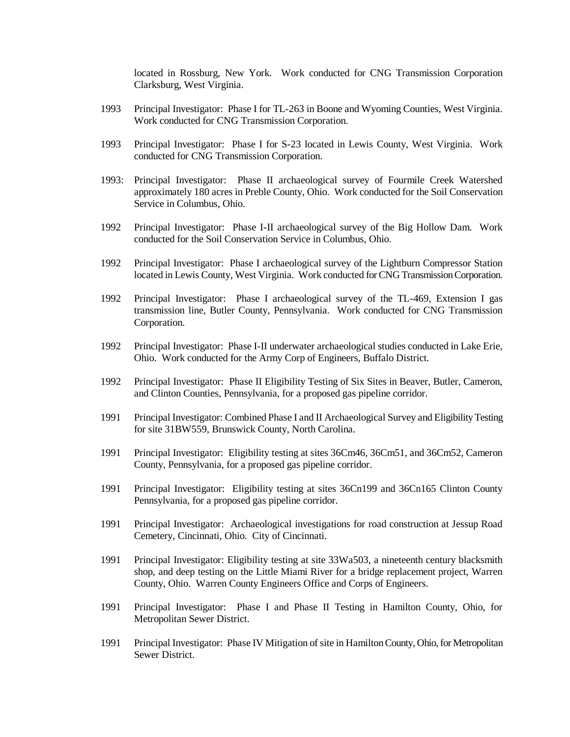located in Rossburg, New York. Work conducted for CNG Transmission Corporation Clarksburg, West Virginia.

- 1993 Principal Investigator: Phase I for TL-263 in Boone and Wyoming Counties, West Virginia. Work conducted for CNG Transmission Corporation.
- 1993 Principal Investigator: Phase I for S-23 located in Lewis County, West Virginia. Work conducted for CNG Transmission Corporation.
- 1993: Principal Investigator: Phase II archaeological survey of Fourmile Creek Watershed approximately 180 acres in Preble County, Ohio. Work conducted for the Soil Conservation Service in Columbus, Ohio.
- 1992 Principal Investigator: Phase I-II archaeological survey of the Big Hollow Dam. Work conducted for the Soil Conservation Service in Columbus, Ohio.
- 1992 Principal Investigator: Phase I archaeological survey of the Lightburn Compressor Station located in Lewis County, West Virginia. Work conducted for CNG Transmission Corporation.
- 1992 Principal Investigator: Phase I archaeological survey of the TL-469, Extension I gas transmission line, Butler County, Pennsylvania. Work conducted for CNG Transmission Corporation.
- 1992 Principal Investigator: Phase I-II underwater archaeological studies conducted in Lake Erie, Ohio. Work conducted for the Army Corp of Engineers, Buffalo District.
- 1992 Principal Investigator: Phase II Eligibility Testing of Six Sites in Beaver, Butler, Cameron, and Clinton Counties, Pennsylvania, for a proposed gas pipeline corridor.
- 1991 Principal Investigator: Combined Phase I and II Archaeological Survey and Eligibility Testing for site 31BW559, Brunswick County, North Carolina.
- 1991 Principal Investigator: Eligibility testing at sites 36Cm46, 36Cm51, and 36Cm52, Cameron County, Pennsylvania, for a proposed gas pipeline corridor.
- 1991 Principal Investigator: Eligibility testing at sites 36Cn199 and 36Cn165 Clinton County Pennsylvania, for a proposed gas pipeline corridor.
- 1991 Principal Investigator: Archaeological investigations for road construction at Jessup Road Cemetery, Cincinnati, Ohio. City of Cincinnati.
- 1991 Principal Investigator: Eligibility testing at site 33Wa503, a nineteenth century blacksmith shop, and deep testing on the Little Miami River for a bridge replacement project, Warren County, Ohio. Warren County Engineers Office and Corps of Engineers.
- 1991 Principal Investigator: Phase I and Phase II Testing in Hamilton County, Ohio, for Metropolitan Sewer District.
- 1991 Principal Investigator: Phase IV Mitigation of site in Hamilton County, Ohio, for Metropolitan Sewer District.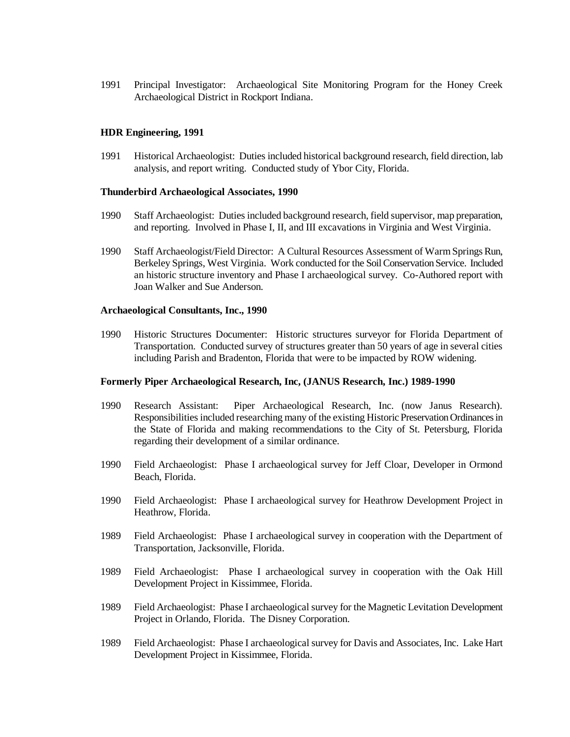1991 Principal Investigator: Archaeological Site Monitoring Program for the Honey Creek Archaeological District in Rockport Indiana.

## **HDR Engineering, 1991**

1991 Historical Archaeologist: Duties included historical background research, field direction, lab analysis, and report writing. Conducted study of Ybor City, Florida.

## **Thunderbird Archaeological Associates, 1990**

- 1990 Staff Archaeologist: Duties included background research, field supervisor, map preparation, and reporting. Involved in Phase I, II, and III excavations in Virginia and West Virginia.
- 1990 Staff Archaeologist/Field Director: A Cultural Resources Assessment of Warm Springs Run, Berkeley Springs, West Virginia. Work conducted for the Soil Conservation Service. Included an historic structure inventory and Phase I archaeological survey. Co-Authored report with Joan Walker and Sue Anderson.

## **Archaeological Consultants, Inc., 1990**

1990 Historic Structures Documenter: Historic structures surveyor for Florida Department of Transportation. Conducted survey of structures greater than 50 years of age in several cities including Parish and Bradenton, Florida that were to be impacted by ROW widening.

## **Formerly Piper Archaeological Research, Inc, (JANUS Research, Inc.) 1989-1990**

- 1990 Research Assistant: Piper Archaeological Research, Inc. (now Janus Research). Responsibilities included researching many of the existing Historic Preservation Ordinances in the State of Florida and making recommendations to the City of St. Petersburg, Florida regarding their development of a similar ordinance.
- 1990 Field Archaeologist: Phase I archaeological survey for Jeff Cloar, Developer in Ormond Beach, Florida.
- 1990 Field Archaeologist: Phase I archaeological survey for Heathrow Development Project in Heathrow, Florida.
- 1989 Field Archaeologist: Phase I archaeological survey in cooperation with the Department of Transportation, Jacksonville, Florida.
- 1989 Field Archaeologist: Phase I archaeological survey in cooperation with the Oak Hill Development Project in Kissimmee, Florida.
- 1989 Field Archaeologist: Phase I archaeological survey for the Magnetic Levitation Development Project in Orlando, Florida. The Disney Corporation.
- 1989 Field Archaeologist: Phase I archaeological survey for Davis and Associates, Inc. Lake Hart Development Project in Kissimmee, Florida.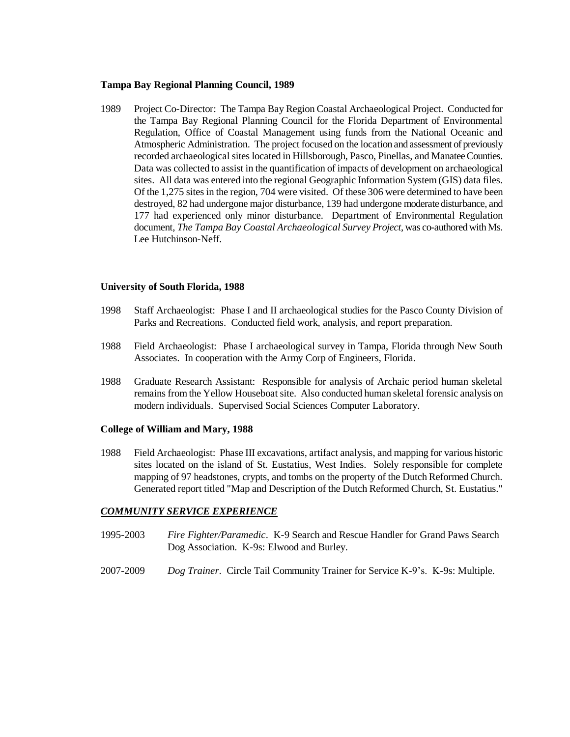### **Tampa Bay Regional Planning Council, 1989**

1989 Project Co-Director: The Tampa Bay Region Coastal Archaeological Project. Conducted for the Tampa Bay Regional Planning Council for the Florida Department of Environmental Regulation, Office of Coastal Management using funds from the National Oceanic and Atmospheric Administration. The project focused on the location and assessment of previously recorded archaeological sites located in Hillsborough, Pasco, Pinellas, and Manatee Counties. Data was collected to assist in the quantification of impacts of development on archaeological sites. All data was entered into the regional Geographic Information System (GIS) data files. Of the 1,275 sites in the region, 704 were visited. Of these 306 were determined to have been destroyed, 82 had undergone major disturbance, 139 had undergone moderate disturbance, and 177 had experienced only minor disturbance. Department of Environmental Regulation document, *The Tampa Bay Coastal Archaeological Survey Project*, was co-authored with Ms. Lee Hutchinson-Neff.

## **University of South Florida, 1988**

- 1998 Staff Archaeologist: Phase I and II archaeological studies for the Pasco County Division of Parks and Recreations. Conducted field work, analysis, and report preparation.
- 1988 Field Archaeologist: Phase I archaeological survey in Tampa, Florida through New South Associates. In cooperation with the Army Corp of Engineers, Florida.
- 1988 Graduate Research Assistant: Responsible for analysis of Archaic period human skeletal remains from the Yellow Houseboat site. Also conducted human skeletal forensic analysis on modern individuals. Supervised Social Sciences Computer Laboratory.

## **College of William and Mary, 1988**

1988 Field Archaeologist: Phase III excavations, artifact analysis, and mapping for various historic sites located on the island of St. Eustatius, West Indies. Solely responsible for complete mapping of 97 headstones, crypts, and tombs on the property of the Dutch Reformed Church. Generated report titled "Map and Description of the Dutch Reformed Church, St. Eustatius."

## *COMMUNITY SERVICE EXPERIENCE*

- 1995-2003 *Fire Fighter/Paramedic*. K-9 Search and Rescue Handler for Grand Paws Search Dog Association. K-9s: Elwood and Burley.
- 2007-2009 *Dog Trainer*. Circle Tail Community Trainer for Service K-9's. K-9s: Multiple.